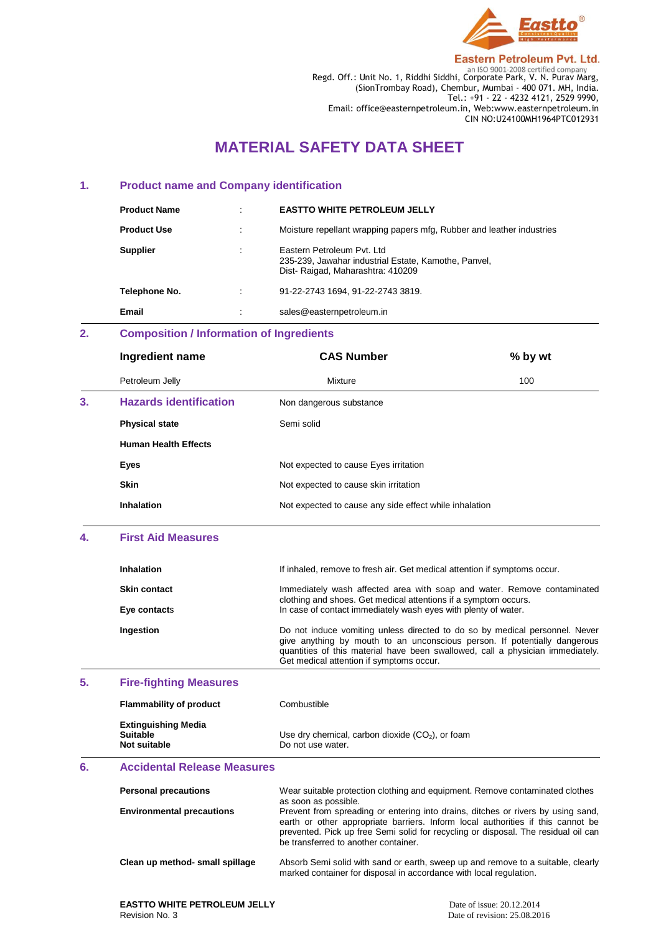

**Eastern Petroleum Pvt. Ltd.** 

Regd. Off.: Unit No. 1, Riddhi Siddhi, Corporate Park, V. N. Purav Marg, (SionTrombay Road), Chembur, Mumbai - 400 071. MH, India. Tel.: +91 - 22 - 4232 4121, 2529 9990, Email: office@easternpetroleum.in, Web:www.easternpetroleum.in CIN NO:U24100MH1964PTC012931

# **MATERIAL SAFETY DATA SHEET**

## **1. Product name and Company identification**

| <b>Product Name</b> | <b>EASTTO WHITE PETROLEUM JELLY</b>                                                                                     |
|---------------------|-------------------------------------------------------------------------------------------------------------------------|
| <b>Product Use</b>  | Moisture repellant wrapping papers mfg, Rubber and leather industries                                                   |
| <b>Supplier</b>     | Eastern Petroleum Pyt. Ltd.<br>235-239, Jawahar industrial Estate, Kamothe, Panvel,<br>Dist-Raigad, Maharashtra: 410209 |
| Telephone No.       | 91-22-2743 1694. 91-22-2743 3819.                                                                                       |
| Email               | sales@easternpetroleum.in                                                                                               |

# **2. Composition / Information of Ingredients**

|    | Ingredient name               | <b>CAS Number</b>                                      | % by wt |
|----|-------------------------------|--------------------------------------------------------|---------|
|    | Petroleum Jelly               | Mixture                                                | 100     |
| 3. | <b>Hazards identification</b> | Non dangerous substance                                |         |
|    | <b>Physical state</b>         | Semi solid                                             |         |
|    | <b>Human Health Effects</b>   |                                                        |         |
|    | Eyes                          | Not expected to cause Eyes irritation                  |         |
|    | <b>Skin</b>                   | Not expected to cause skin irritation                  |         |
|    | Inhalation                    | Not expected to cause any side effect while inhalation |         |

## **4. First Aid Measures**

| <b>Inhalation</b>   | If inhaled, remove to fresh air. Get medical attention if symptoms occur.                                                                                                                                                                  |
|---------------------|--------------------------------------------------------------------------------------------------------------------------------------------------------------------------------------------------------------------------------------------|
| <b>Skin contact</b> | Immediately wash affected area with soap and water. Remove contaminated<br>clothing and shoes. Get medical attentions if a symptom occurs.                                                                                                 |
| Eye contacts        | In case of contact immediately wash eyes with plenty of water.                                                                                                                                                                             |
| Ingestion           | Do not induce vomiting unless directed to do so by medical personnel. Never<br>give anything by mouth to an unconscious person. If potentially dangerous<br>quantities of this material have been swallowed, call a physician immediately. |

Get medical attention if symptoms occur.

# **5. Fire-fighting Measures**

| <b>Flammability of product</b>                                | Combustible                                                             |
|---------------------------------------------------------------|-------------------------------------------------------------------------|
| <b>Extinguishing Media</b><br><b>Suitable</b><br>Not suitable | Use dry chemical, carbon dioxide $(CO2)$ , or foam<br>Do not use water. |

# **6. Accidental Release Measures**

| <b>Personal precautions</b>      | Wear suitable protection clothing and equipment. Remove contaminated clothes<br>as soon as possible.                                                                                                                                                                                              |
|----------------------------------|---------------------------------------------------------------------------------------------------------------------------------------------------------------------------------------------------------------------------------------------------------------------------------------------------|
| <b>Environmental precautions</b> | Prevent from spreading or entering into drains, ditches or rivers by using sand,<br>earth or other appropriate barriers. Inform local authorities if this cannot be<br>prevented. Pick up free Semi solid for recycling or disposal. The residual oil can<br>be transferred to another container. |
| Clean up method- small spillage  | Absorb Semi solid with sand or earth, sweep up and remove to a suitable, clearly<br>marked container for disposal in accordance with local regulation.                                                                                                                                            |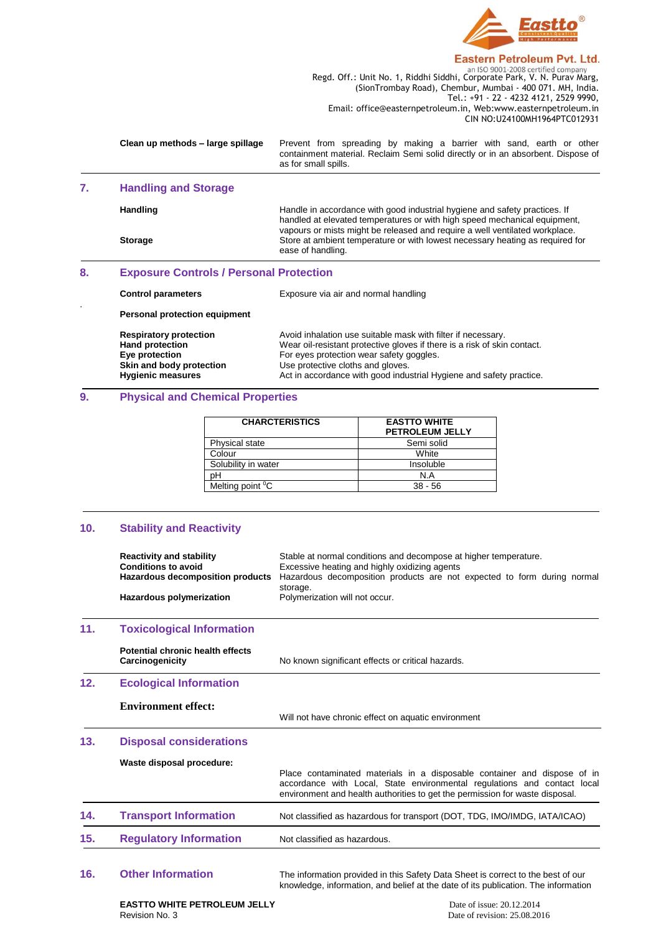

#### **Eastern Petroleum Pvt. Ltd.**

**Regd. Off.: Unit No. 1, Riddhi Siddhi, Corporate Park, V. N. Purav Marg,** Regd. Off.: Unit No. 1, Riddhi Siddhi, Corporate Park, V. N. Purav Marg, (SionTrombay Road), Chembur, Mumbai - 400 071. MH, India. Tel.: +91 - 22 - 4232 4121, 2529 9990, Email: office@easternpetroleum.in, Web:www.easternpetroleum.in CIN NO:U24100MH1964PTC012931

| Clean up methods – large spillage | Prevent from spreading by making a barrier with sand, earth or other                                     |
|-----------------------------------|----------------------------------------------------------------------------------------------------------|
|                                   | containment material. Reclaim Semi solid directly or in an absorbent. Dispose of<br>as for small spills. |
|                                   |                                                                                                          |

# **7. Handling and Storage**

.

Handling **Handle** in accordance with good industrial hygiene and safety practices. If handled at elevated temperatures or with high speed mechanical equipment, vapours or mists might be released and require a well ventilated workplace. **Storage** Store at ambient temperature or with lowest necessary heating as required for ease of handling.

## **8. Exposure Controls / Personal Protection**

| <b>Control parameters</b> |  |
|---------------------------|--|
|---------------------------|--|

Exposure via air and normal handling

**Personal protection equipment**

**Respiratory protection** Avoid inhalation use suitable mask with filter if necessary.<br> **Hand protection** Wear oil-resistant protective gloves if there is a risk of skin **Hand protection** Wear oil-resistant protective gloves if there is a risk of skin contact.<br> **Eve protection** For eves protection wear safety goggles. **Eye protection**<br> **Eye protection**<br> **Example 20 Skin and body protection**<br>
Use protective cloths and gloves. Use protective cloths and gloves. **Hygienic measures Act in accordance with good industrial Hygiene and safety practice.** 

## **9. Physical and Chemical Properties**

| <b>CHARCTERISTICS</b>        | <b>EASTTO WHITE</b><br><b>PETROLEUM JELLY</b> |
|------------------------------|-----------------------------------------------|
| Physical state               | Semi solid                                    |
| Colour                       | White                                         |
| Solubility in water          | Insoluble                                     |
| pН                           | N.A                                           |
| Melting point <sup>o</sup> C | $38 - 56$                                     |

## **10. Stability and Reactivity**

| <b>Reactivity and stability</b><br><b>Conditions to avoid</b><br>Hazardous decomposition products<br>Hazardous polymerization | Stable at normal conditions and decompose at higher temperature.<br>Excessive heating and highly oxidizing agents<br>Hazardous decomposition products are not expected to form during normal<br>storage.<br>Polymerization will not occur. |
|-------------------------------------------------------------------------------------------------------------------------------|--------------------------------------------------------------------------------------------------------------------------------------------------------------------------------------------------------------------------------------------|
| <b>Toxicological Information</b>                                                                                              |                                                                                                                                                                                                                                            |
| Potential chronic health effects<br>Carcinogenicity                                                                           | No known significant effects or critical hazards.                                                                                                                                                                                          |
| <b>Ecological Information</b>                                                                                                 |                                                                                                                                                                                                                                            |
| <b>Environment effect:</b>                                                                                                    | Will not have chronic effect on aquatic environment                                                                                                                                                                                        |
| <b>Disposal considerations</b>                                                                                                |                                                                                                                                                                                                                                            |
| Waste disposal procedure:                                                                                                     | Place contaminated materials in a disposable container and dispose of in<br>accordance with Local, State environmental regulations and contact local<br>environment and health authorities to get the permission for waste disposal.       |
| <b>Transport Information</b>                                                                                                  | Not classified as hazardous for transport (DOT, TDG, IMO/IMDG, IATA/ICAO)                                                                                                                                                                  |
| <b>Regulatory Information</b>                                                                                                 | Not classified as hazardous.                                                                                                                                                                                                               |
|                                                                                                                               |                                                                                                                                                                                                                                            |

**16. Other Information** The information provided in this Safety Data Sheet is correct to the best of our knowledge, information, and belief at the date of its publication. The information